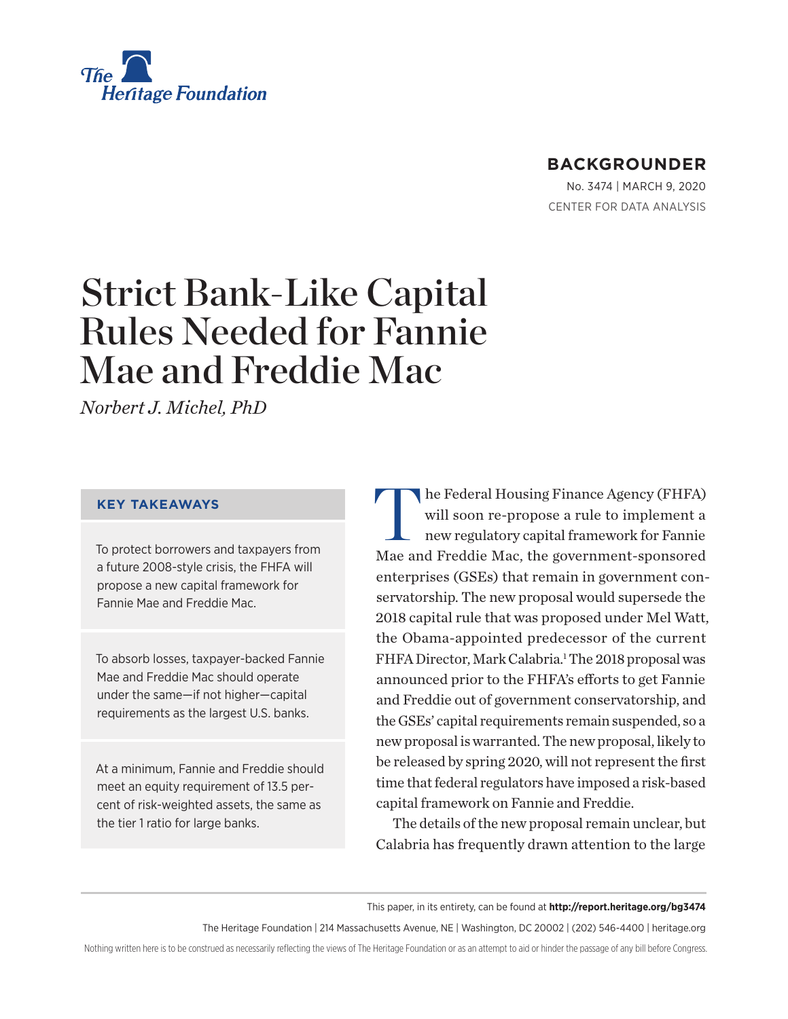

## **BACKGROUNDER**

No. 3474 | March 9, 2020 CENTER FOR DATA ANALYSIS

# Strict Bank-Like Capital Rules Needed for Fannie Mae and Freddie Mac

*Norbert J. Michel, PhD*

#### **KEY TAKEAWAYS**

To protect borrowers and taxpayers from a future 2008-style crisis, the FHFA will propose a new capital framework for Fannie Mae and Freddie Mac.

To absorb losses, taxpayer-backed Fannie Mae and Freddie Mac should operate under the same—if not higher—capital requirements as the largest U.S. banks.

At a minimum, Fannie and Freddie should meet an equity requirement of 13.5 percent of risk-weighted assets, the same as the tier 1 ratio for large banks.

In the Federal Housing Finance Agency (FHFA) will soon re-propose a rule to implement a new regulatory capital framework for Fannie Mae and Freddie Mac, the government-sponsored enterprises (GSEs) that remain in government conservatorship. The new proposal would supersede the 2018 capital rule that was proposed under Mel Watt, the Obama-appointed predecessor of the current FHFA Director, Mark Calabria.<sup>1</sup> The 2018 proposal was announced prior to the FHFA's efforts to get Fannie and Freddie out of government conservatorship, and the GSEs' capital requirements remain suspended, so a new proposal is warranted. The new proposal, likely to be released by spring 2020, will not represent the first time that federal regulators have imposed a risk-based capital framework on Fannie and Freddie.

The details of the new proposal remain unclear, but Calabria has frequently drawn attention to the large

This paper, in its entirety, can be found at **http://report.heritage.org/bg3474**

The Heritage Foundation | 214 Massachusetts Avenue, NE | Washington, DC 20002 | (202) 546-4400 | heritage.org

Nothing written here is to be construed as necessarily reflecting the views of The Heritage Foundation or as an attempt to aid or hinder the passage of any bill before Congress.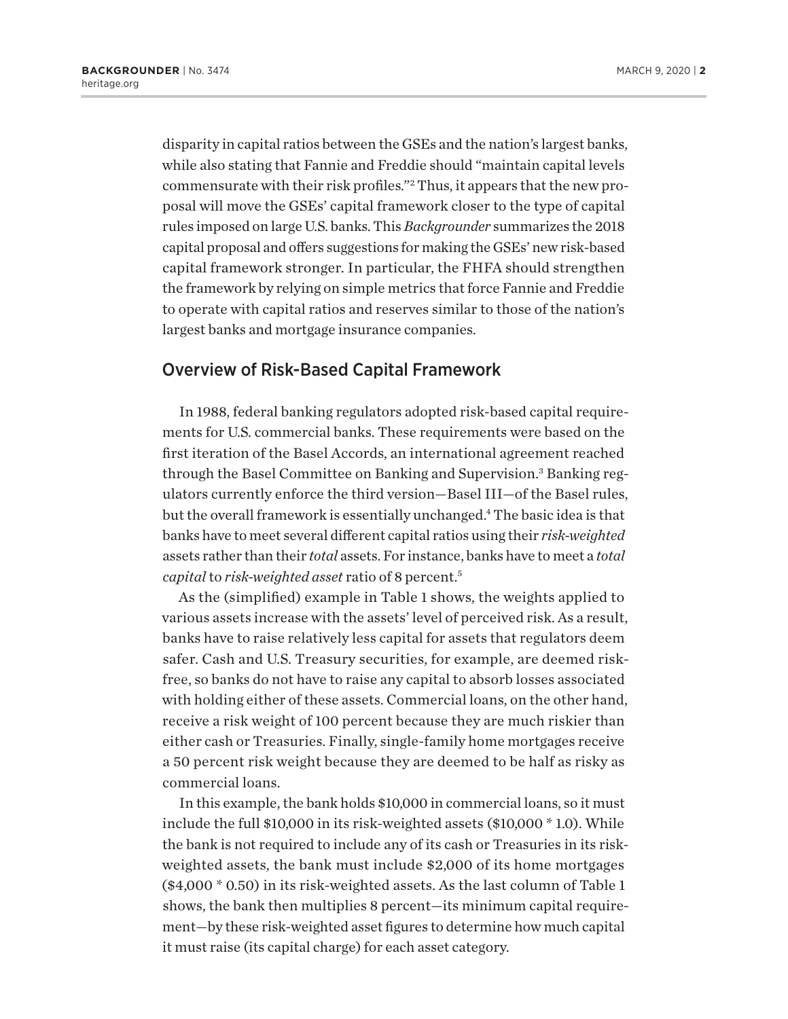disparity in capital ratios between the GSEs and the nation's largest banks, while also stating that Fannie and Freddie should "maintain capital levels commensurate with their risk profiles."2 Thus, it appears that the new proposal will move the GSEs' capital framework closer to the type of capital rules imposed on large U.S. banks. This *Backgrounder* summarizes the 2018 capital proposal and offers suggestions for making the GSEs' new risk-based capital framework stronger. In particular, the FHFA should strengthen the framework by relying on simple metrics that force Fannie and Freddie to operate with capital ratios and reserves similar to those of the nation's largest banks and mortgage insurance companies.

## Overview of Risk-Based Capital Framework

In 1988, federal banking regulators adopted risk-based capital requirements for U.S. commercial banks. These requirements were based on the first iteration of the Basel Accords, an international agreement reached through the Basel Committee on Banking and Supervision.<sup>3</sup> Banking regulators currently enforce the third version—Basel III—of the Basel rules, but the overall framework is essentially unchanged.4 The basic idea is that banks have to meet several different capital ratios using their *risk-weighted* assets rather than their *total* assets. For instance, banks have to meet a *total capital* to *risk-weighted asset* ratio of 8 percent.5

As the (simplified) example in Table 1 shows, the weights applied to various assets increase with the assets' level of perceived risk. As a result, banks have to raise relatively less capital for assets that regulators deem safer. Cash and U.S. Treasury securities, for example, are deemed riskfree, so banks do not have to raise any capital to absorb losses associated with holding either of these assets. Commercial loans, on the other hand, receive a risk weight of 100 percent because they are much riskier than either cash or Treasuries. Finally, single-family home mortgages receive a 50 percent risk weight because they are deemed to be half as risky as commercial loans.

In this example, the bank holds \$10,000 in commercial loans, so it must include the full \$10,000 in its risk-weighted assets (\$10,000 \* 1.0). While the bank is not required to include any of its cash or Treasuries in its riskweighted assets, the bank must include \$2,000 of its home mortgages (\$4,000 \* 0.50) in its risk-weighted assets. As the last column of Table 1 shows, the bank then multiplies 8 percent—its minimum capital requirement—by these risk-weighted asset figures to determine how much capital it must raise (its capital charge) for each asset category.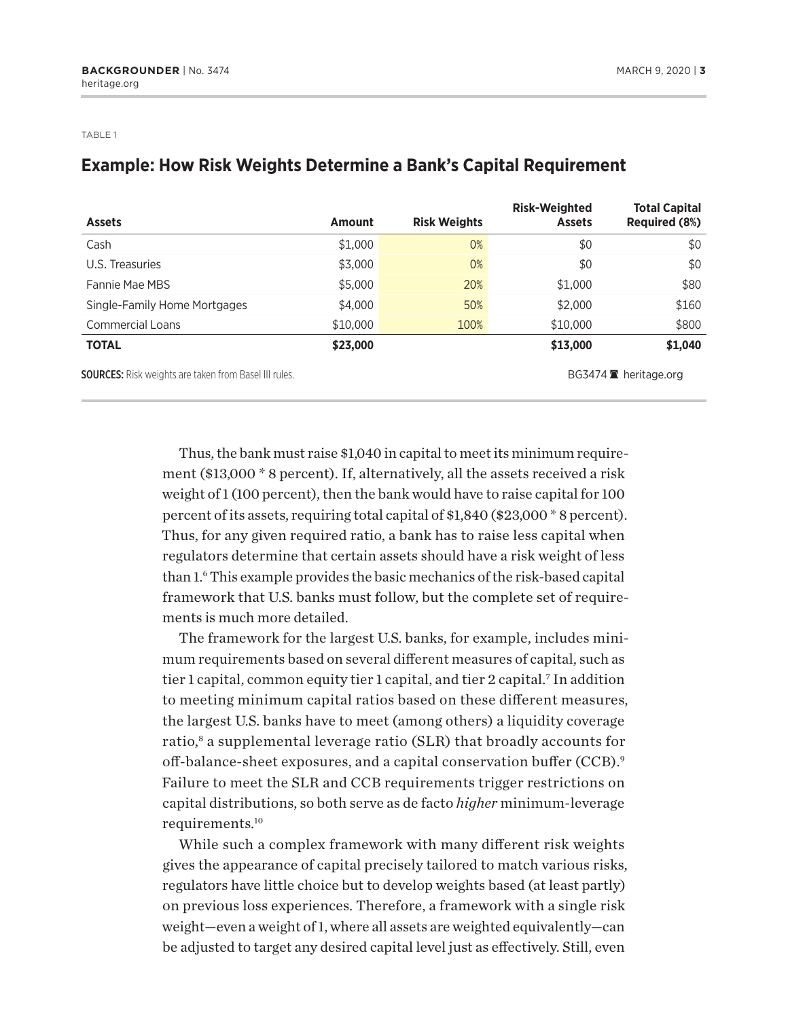TABLE 1

## **Example: How Risk Weights Determine a Bank's Capital Requirement**

| <b>Assets</b>                                                | <b>Amount</b> | <b>Risk Weights</b> | <b>Risk-Weighted</b><br><b>Assets</b> | <b>Total Capital</b><br><b>Required (8%)</b> |
|--------------------------------------------------------------|---------------|---------------------|---------------------------------------|----------------------------------------------|
| Cash                                                         | \$1,000       | 0%                  | \$0                                   | \$0                                          |
| U.S. Treasuries                                              | \$3,000       | 0%                  | \$0                                   | \$0                                          |
| Fannie Mae MBS                                               | \$5,000       | 20%                 | \$1,000                               | \$80                                         |
| Single-Family Home Mortgages                                 | \$4,000       | 50%                 | \$2,000                               | \$160                                        |
| <b>Commercial Loans</b>                                      | \$10,000      | 100%                | \$10,000                              | \$800                                        |
| <b>TOTAL</b>                                                 | \$23,000      |                     | \$13,000                              | \$1,040                                      |
| <b>SOURCES:</b> Risk weights are taken from Basel III rules. |               |                     |                                       | BG3474 $\blacksquare$ heritage.org           |

Thus, the bank must raise \$1,040 in capital to meet its minimum requirement (\$13,000 \* 8 percent). If, alternatively, all the assets received a risk weight of 1 (100 percent), then the bank would have to raise capital for 100 percent of its assets, requiring total capital of \$1,840 (\$23,000 \* 8 percent). Thus, for any given required ratio, a bank has to raise less capital when regulators determine that certain assets should have a risk weight of less than 1.6 This example provides the basic mechanics of the risk-based capital framework that U.S. banks must follow, but the complete set of requirements is much more detailed.

The framework for the largest U.S. banks, for example, includes minimum requirements based on several different measures of capital, such as tier 1 capital, common equity tier 1 capital, and tier 2 capital.<sup>7</sup> In addition to meeting minimum capital ratios based on these different measures, the largest U.S. banks have to meet (among others) a liquidity coverage ratio,<sup>8</sup> a supplemental leverage ratio (SLR) that broadly accounts for off-balance-sheet exposures, and a capital conservation buffer (CCB).<sup>9</sup> Failure to meet the SLR and CCB requirements trigger restrictions on capital distributions, so both serve as de facto *higher* minimum-leverage requirements.10

While such a complex framework with many different risk weights gives the appearance of capital precisely tailored to match various risks, regulators have little choice but to develop weights based (at least partly) on previous loss experiences. Therefore, a framework with a single risk weight—even a weight of 1, where all assets are weighted equivalently—can be adjusted to target any desired capital level just as effectively. Still, even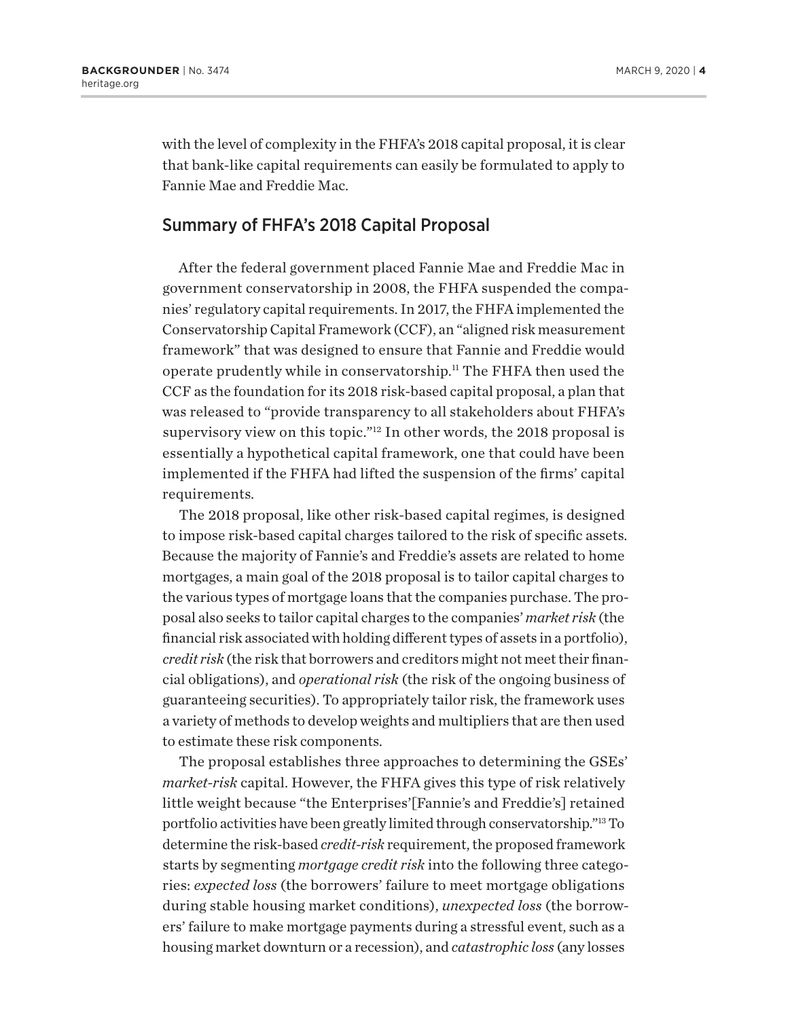with the level of complexity in the FHFA's 2018 capital proposal, it is clear that bank-like capital requirements can easily be formulated to apply to Fannie Mae and Freddie Mac.

#### Summary of FHFA's 2018 Capital Proposal

After the federal government placed Fannie Mae and Freddie Mac in government conservatorship in 2008, the FHFA suspended the companies' regulatory capital requirements. In 2017, the FHFA implemented the Conservatorship Capital Framework (CCF), an "aligned risk measurement framework" that was designed to ensure that Fannie and Freddie would operate prudently while in conservatorship.11 The FHFA then used the CCF as the foundation for its 2018 risk-based capital proposal, a plan that was released to "provide transparency to all stakeholders about FHFA's supervisory view on this topic."12 In other words, the 2018 proposal is essentially a hypothetical capital framework, one that could have been implemented if the FHFA had lifted the suspension of the firms' capital requirements.

The 2018 proposal, like other risk-based capital regimes, is designed to impose risk-based capital charges tailored to the risk of specific assets. Because the majority of Fannie's and Freddie's assets are related to home mortgages, a main goal of the 2018 proposal is to tailor capital charges to the various types of mortgage loans that the companies purchase. The proposal also seeks to tailor capital charges to the companies' *market risk* (the financial risk associated with holding different types of assets in a portfolio), *credit risk* (the risk that borrowers and creditors might not meet their financial obligations), and *operational risk* (the risk of the ongoing business of guaranteeing securities). To appropriately tailor risk, the framework uses a variety of methods to develop weights and multipliers that are then used to estimate these risk components.

The proposal establishes three approaches to determining the GSEs' *market-risk* capital. However, the FHFA gives this type of risk relatively little weight because "the Enterprises'[Fannie's and Freddie's] retained portfolio activities have been greatly limited through conservatorship."13 To determine the risk-based *credit-risk* requirement, the proposed framework starts by segmenting *mortgage credit risk* into the following three categories: *expected loss* (the borrowers' failure to meet mortgage obligations during stable housing market conditions), *unexpected loss* (the borrowers' failure to make mortgage payments during a stressful event, such as a housing market downturn or a recession), and *catastrophic loss* (any losses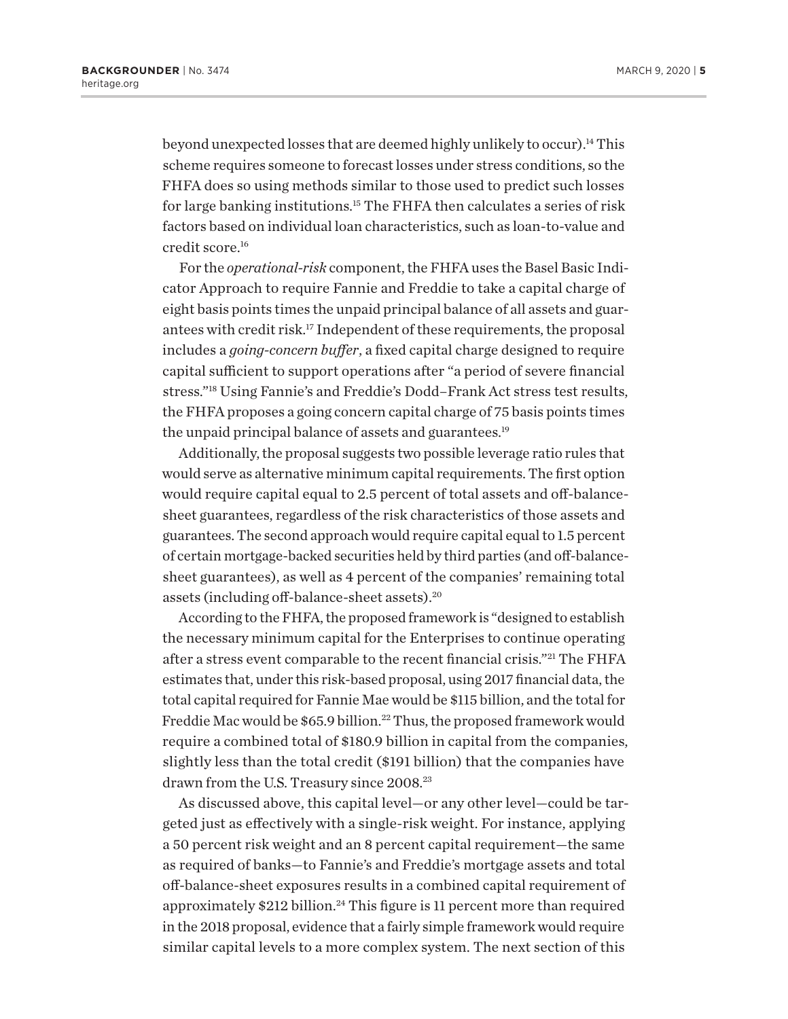beyond unexpected losses that are deemed highly unlikely to occur).14 This scheme requires someone to forecast losses under stress conditions, so the FHFA does so using methods similar to those used to predict such losses for large banking institutions.15 The FHFA then calculates a series of risk factors based on individual loan characteristics, such as loan-to-value and credit score.16

For the *operational-risk* component, the FHFA uses the Basel Basic Indicator Approach to require Fannie and Freddie to take a capital charge of eight basis points times the unpaid principal balance of all assets and guarantees with credit risk.17 Independent of these requirements, the proposal includes a *going-concern buffer*, a fixed capital charge designed to require capital sufficient to support operations after "a period of severe financial stress."18 Using Fannie's and Freddie's Dodd–Frank Act stress test results, the FHFA proposes a going concern capital charge of 75 basis points times the unpaid principal balance of assets and guarantees.<sup>19</sup>

Additionally, the proposal suggests two possible leverage ratio rules that would serve as alternative minimum capital requirements. The first option would require capital equal to 2.5 percent of total assets and off-balancesheet guarantees, regardless of the risk characteristics of those assets and guarantees. The second approach would require capital equal to 1.5 percent of certain mortgage-backed securities held by third parties (and off-balancesheet guarantees), as well as 4 percent of the companies' remaining total assets (including off-balance-sheet assets).20

According to the FHFA, the proposed framework is "designed to establish the necessary minimum capital for the Enterprises to continue operating after a stress event comparable to the recent financial crisis."21 The FHFA estimates that, under this risk-based proposal, using 2017 financial data, the total capital required for Fannie Mae would be \$115 billion, and the total for Freddie Mac would be \$65.9 billion.<sup>22</sup> Thus, the proposed framework would require a combined total of \$180.9 billion in capital from the companies, slightly less than the total credit (\$191 billion) that the companies have drawn from the U.S. Treasury since 2008.<sup>23</sup>

As discussed above, this capital level—or any other level—could be targeted just as effectively with a single-risk weight. For instance, applying a 50 percent risk weight and an 8 percent capital requirement—the same as required of banks—to Fannie's and Freddie's mortgage assets and total off-balance-sheet exposures results in a combined capital requirement of approximately  $$212$  billion.<sup>24</sup> This figure is 11 percent more than required in the 2018 proposal, evidence that a fairly simple framework would require similar capital levels to a more complex system. The next section of this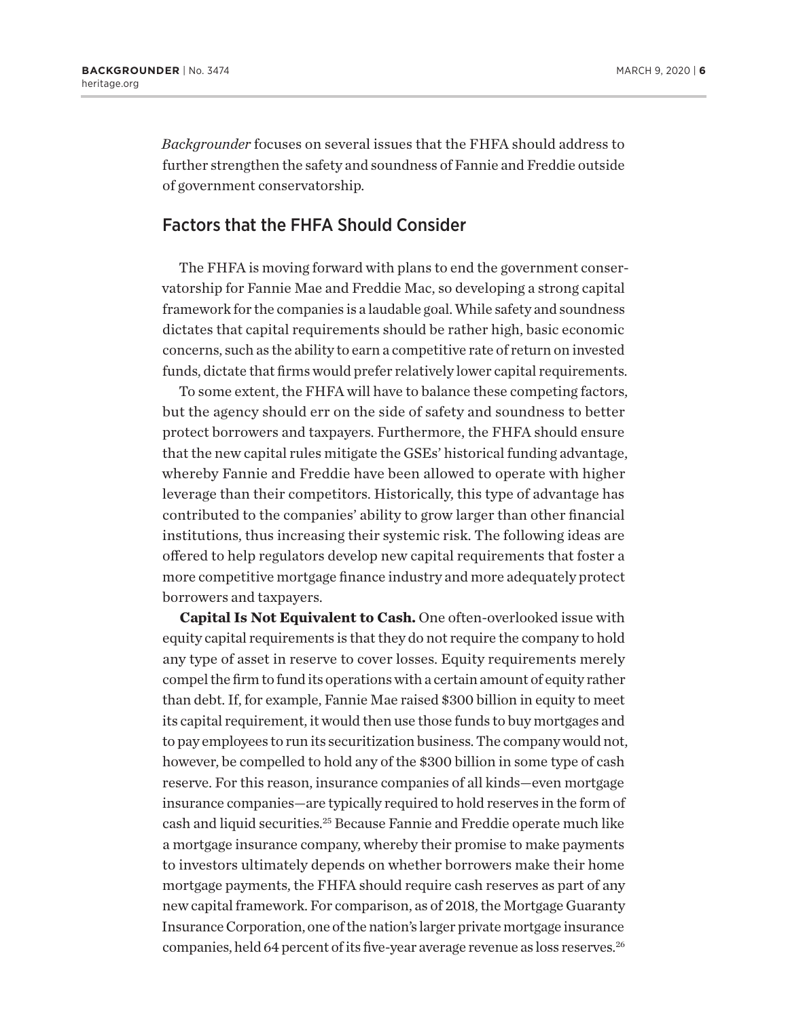*Backgrounder* focuses on several issues that the FHFA should address to further strengthen the safety and soundness of Fannie and Freddie outside of government conservatorship.

#### Factors that the FHFA Should Consider

The FHFA is moving forward with plans to end the government conservatorship for Fannie Mae and Freddie Mac, so developing a strong capital framework for the companies is a laudable goal. While safety and soundness dictates that capital requirements should be rather high, basic economic concerns, such as the ability to earn a competitive rate of return on invested funds, dictate that firms would prefer relatively lower capital requirements.

To some extent, the FHFA will have to balance these competing factors, but the agency should err on the side of safety and soundness to better protect borrowers and taxpayers. Furthermore, the FHFA should ensure that the new capital rules mitigate the GSEs' historical funding advantage, whereby Fannie and Freddie have been allowed to operate with higher leverage than their competitors. Historically, this type of advantage has contributed to the companies' ability to grow larger than other financial institutions, thus increasing their systemic risk. The following ideas are offered to help regulators develop new capital requirements that foster a more competitive mortgage finance industry and more adequately protect borrowers and taxpayers.

**Capital Is Not Equivalent to Cash.** One often-overlooked issue with equity capital requirements is that they do not require the company to hold any type of asset in reserve to cover losses. Equity requirements merely compel the firm to fund its operations with a certain amount of equity rather than debt. If, for example, Fannie Mae raised \$300 billion in equity to meet its capital requirement, it would then use those funds to buy mortgages and to pay employees to run its securitization business. The company would not, however, be compelled to hold any of the \$300 billion in some type of cash reserve. For this reason, insurance companies of all kinds—even mortgage insurance companies—are typically required to hold reserves in the form of cash and liquid securities.25 Because Fannie and Freddie operate much like a mortgage insurance company, whereby their promise to make payments to investors ultimately depends on whether borrowers make their home mortgage payments, the FHFA should require cash reserves as part of any new capital framework. For comparison, as of 2018, the Mortgage Guaranty Insurance Corporation, one of the nation's larger private mortgage insurance companies, held 64 percent of its five-year average revenue as loss reserves.<sup>26</sup>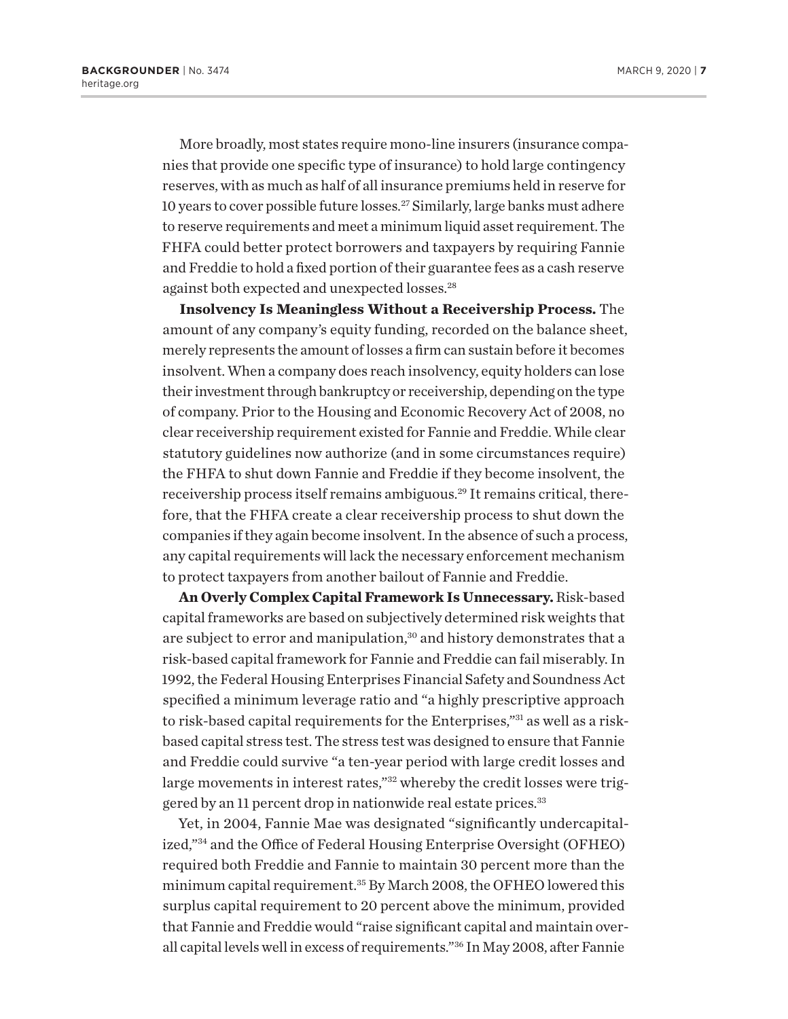More broadly, most states require mono-line insurers (insurance companies that provide one specific type of insurance) to hold large contingency reserves, with as much as half of all insurance premiums held in reserve for 10 years to cover possible future losses.27 Similarly, large banks must adhere to reserve requirements and meet a minimum liquid asset requirement. The FHFA could better protect borrowers and taxpayers by requiring Fannie and Freddie to hold a fixed portion of their guarantee fees as a cash reserve against both expected and unexpected losses.28

**Insolvency Is Meaningless Without a Receivership Process.** The amount of any company's equity funding, recorded on the balance sheet, merely represents the amount of losses a firm can sustain before it becomes insolvent. When a company does reach insolvency, equity holders can lose their investment through bankruptcy or receivership, depending on the type of company. Prior to the Housing and Economic Recovery Act of 2008, no clear receivership requirement existed for Fannie and Freddie. While clear statutory guidelines now authorize (and in some circumstances require) the FHFA to shut down Fannie and Freddie if they become insolvent, the receivership process itself remains ambiguous.<sup>29</sup> It remains critical, therefore, that the FHFA create a clear receivership process to shut down the companies if they again become insolvent. In the absence of such a process, any capital requirements will lack the necessary enforcement mechanism to protect taxpayers from another bailout of Fannie and Freddie.

**An Overly Complex Capital Framework Is Unnecessary.** Risk-based capital frameworks are based on subjectively determined risk weights that are subject to error and manipulation,<sup>30</sup> and history demonstrates that a risk-based capital framework for Fannie and Freddie can fail miserably. In 1992, the Federal Housing Enterprises Financial Safety and Soundness Act specified a minimum leverage ratio and "a highly prescriptive approach to risk-based capital requirements for the Enterprises,"31 as well as a riskbased capital stress test. The stress test was designed to ensure that Fannie and Freddie could survive "a ten-year period with large credit losses and large movements in interest rates,"<sup>32</sup> whereby the credit losses were triggered by an 11 percent drop in nationwide real estate prices.<sup>33</sup>

Yet, in 2004, Fannie Mae was designated "significantly undercapitalized,"34 and the Office of Federal Housing Enterprise Oversight (OFHEO) required both Freddie and Fannie to maintain 30 percent more than the minimum capital requirement.<sup>35</sup> By March 2008, the OFHEO lowered this surplus capital requirement to 20 percent above the minimum, provided that Fannie and Freddie would "raise significant capital and maintain overall capital levels well in excess of requirements."36 In May 2008, after Fannie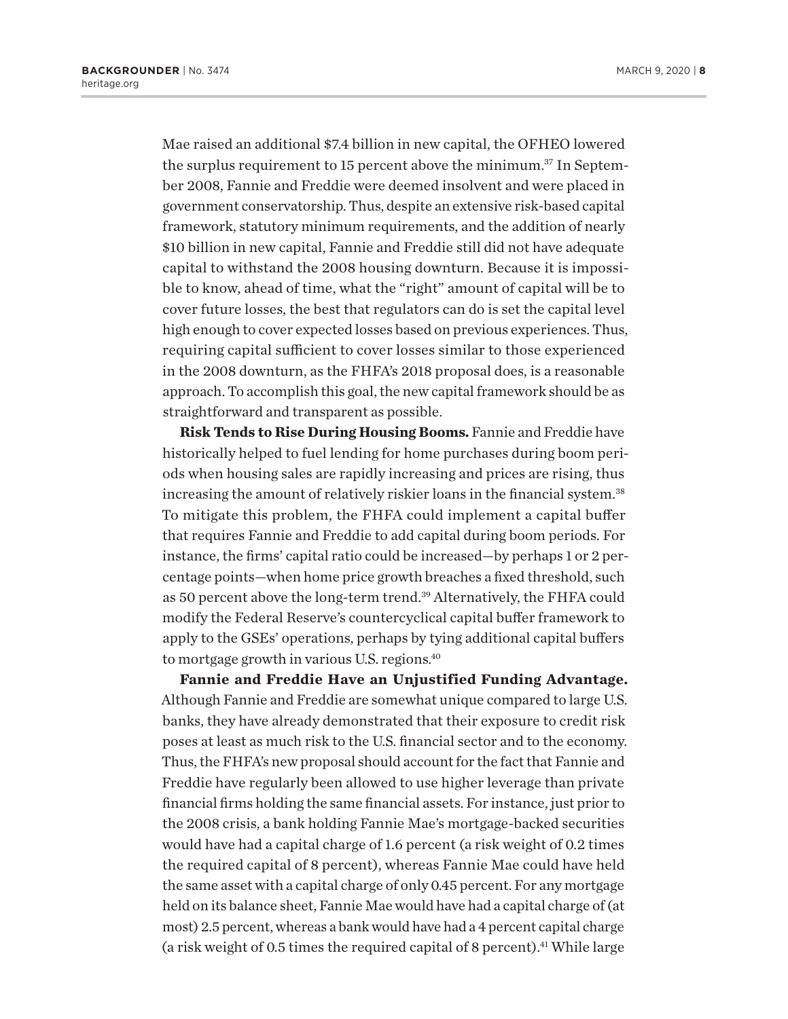Mae raised an additional \$7.4 billion in new capital, the OFHEO lowered the surplus requirement to 15 percent above the minimum.<sup>37</sup> In September 2008, Fannie and Freddie were deemed insolvent and were placed in government conservatorship. Thus, despite an extensive risk-based capital framework, statutory minimum requirements, and the addition of nearly \$10 billion in new capital, Fannie and Freddie still did not have adequate capital to withstand the 2008 housing downturn. Because it is impossible to know, ahead of time, what the "right" amount of capital will be to cover future losses, the best that regulators can do is set the capital level high enough to cover expected losses based on previous experiences. Thus, requiring capital sufficient to cover losses similar to those experienced in the 2008 downturn, as the FHFA's 2018 proposal does, is a reasonable approach. To accomplish this goal, the new capital framework should be as straightforward and transparent as possible.

**Risk Tends to Rise During Housing Booms.** Fannie and Freddie have historically helped to fuel lending for home purchases during boom periods when housing sales are rapidly increasing and prices are rising, thus increasing the amount of relatively riskier loans in the financial system.<sup>38</sup> To mitigate this problem, the FHFA could implement a capital buffer that requires Fannie and Freddie to add capital during boom periods. For instance, the firms' capital ratio could be increased—by perhaps 1 or 2 percentage points—when home price growth breaches a fixed threshold, such as 50 percent above the long-term trend.39 Alternatively, the FHFA could modify the Federal Reserve's countercyclical capital buffer framework to apply to the GSEs' operations, perhaps by tying additional capital buffers to mortgage growth in various U.S. regions.40

**Fannie and Freddie Have an Unjustified Funding Advantage.** Although Fannie and Freddie are somewhat unique compared to large U.S. banks, they have already demonstrated that their exposure to credit risk poses at least as much risk to the U.S. financial sector and to the economy. Thus, the FHFA's new proposal should account for the fact that Fannie and Freddie have regularly been allowed to use higher leverage than private financial firms holding the same financial assets. For instance, just prior to the 2008 crisis, a bank holding Fannie Mae's mortgage-backed securities would have had a capital charge of 1.6 percent (a risk weight of 0.2 times the required capital of 8 percent), whereas Fannie Mae could have held the same asset with a capital charge of only 0.45 percent. For any mortgage held on its balance sheet, Fannie Mae would have had a capital charge of (at most) 2.5 percent, whereas a bank would have had a 4 percent capital charge (a risk weight of 0.5 times the required capital of 8 percent).<sup>41</sup> While large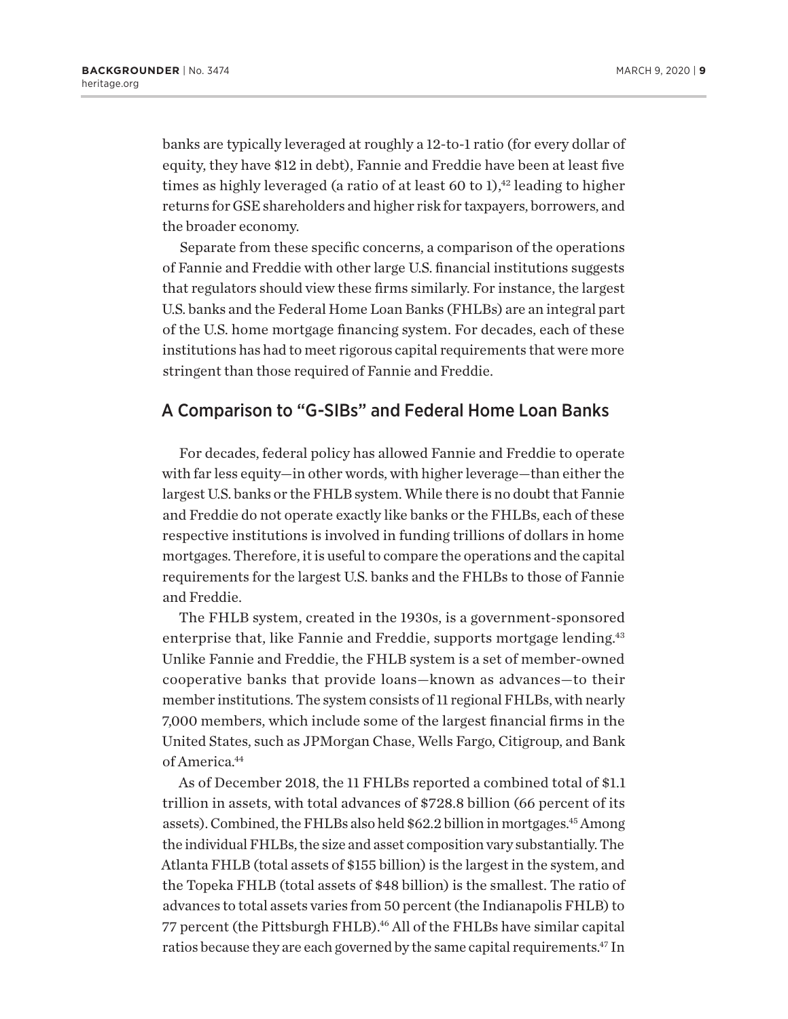banks are typically leveraged at roughly a 12-to-1 ratio (for every dollar of equity, they have \$12 in debt), Fannie and Freddie have been at least five times as highly leveraged (a ratio of at least 60 to 1),<sup>42</sup> leading to higher returns for GSE shareholders and higher risk for taxpayers, borrowers, and the broader economy.

Separate from these specific concerns, a comparison of the operations of Fannie and Freddie with other large U.S. financial institutions suggests that regulators should view these firms similarly. For instance, the largest U.S. banks and the Federal Home Loan Banks (FHLBs) are an integral part of the U.S. home mortgage financing system. For decades, each of these institutions has had to meet rigorous capital requirements that were more stringent than those required of Fannie and Freddie.

## A Comparison to "G-SIBs" and Federal Home Loan Banks

For decades, federal policy has allowed Fannie and Freddie to operate with far less equity—in other words, with higher leverage—than either the largest U.S. banks or the FHLB system. While there is no doubt that Fannie and Freddie do not operate exactly like banks or the FHLBs, each of these respective institutions is involved in funding trillions of dollars in home mortgages. Therefore, it is useful to compare the operations and the capital requirements for the largest U.S. banks and the FHLBs to those of Fannie and Freddie.

The FHLB system, created in the 1930s, is a government-sponsored enterprise that, like Fannie and Freddie, supports mortgage lending.<sup>43</sup> Unlike Fannie and Freddie, the FHLB system is a set of member-owned cooperative banks that provide loans—known as advances—to their member institutions. The system consists of 11 regional FHLBs, with nearly 7,000 members, which include some of the largest financial firms in the United States, such as JPMorgan Chase, Wells Fargo, Citigroup, and Bank of America.<sup>44</sup>

As of December 2018, the 11 FHLBs reported a combined total of \$1.1 trillion in assets, with total advances of \$728.8 billion (66 percent of its assets). Combined, the FHLBs also held \$62.2 billion in mortgages.45 Among the individual FHLBs, the size and asset composition vary substantially. The Atlanta FHLB (total assets of \$155 billion) is the largest in the system, and the Topeka FHLB (total assets of \$48 billion) is the smallest. The ratio of advances to total assets varies from 50 percent (the Indianapolis FHLB) to 77 percent (the Pittsburgh FHLB).<sup>46</sup> All of the FHLBs have similar capital ratios because they are each governed by the same capital requirements.<sup>47</sup> In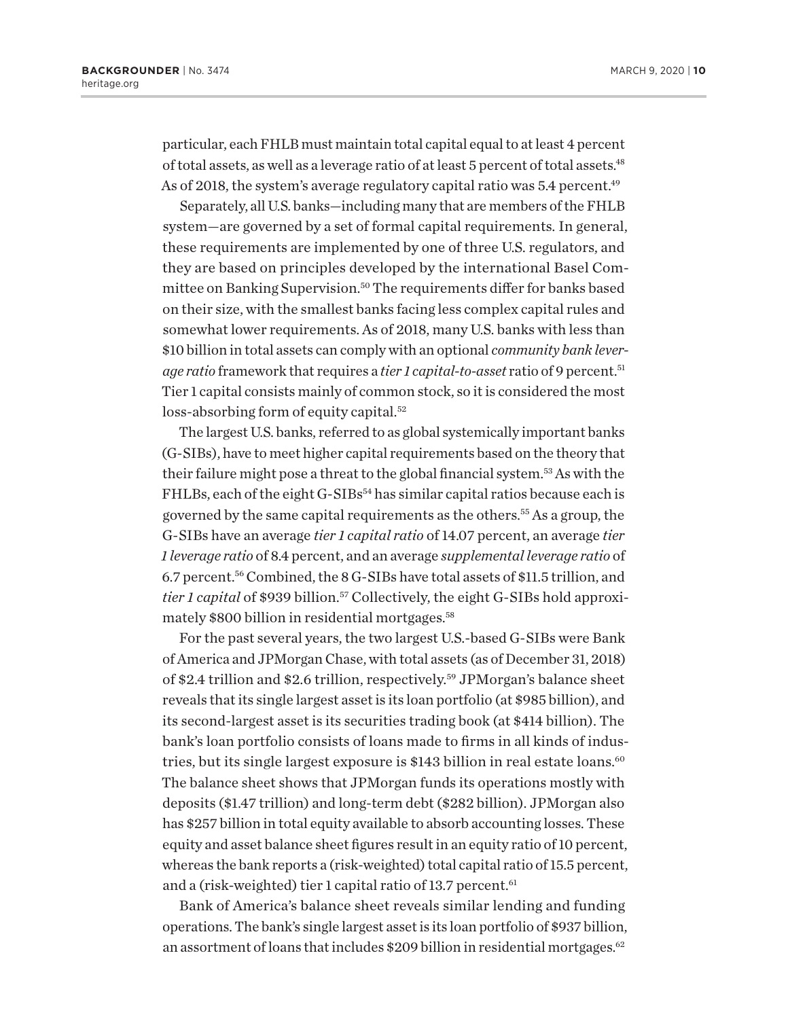particular, each FHLB must maintain total capital equal to at least 4 percent of total assets, as well as a leverage ratio of at least 5 percent of total assets.<sup>48</sup> As of 2018, the system's average regulatory capital ratio was  $5.4$  percent.<sup>49</sup>

Separately, all U.S. banks—including many that are members of the FHLB system—are governed by a set of formal capital requirements. In general, these requirements are implemented by one of three U.S. regulators, and they are based on principles developed by the international Basel Committee on Banking Supervision.<sup>50</sup> The requirements differ for banks based on their size, with the smallest banks facing less complex capital rules and somewhat lower requirements. As of 2018, many U.S. banks with less than \$10 billion in total assets can comply with an optional *community bank leverage ratio* framework that requires a *tier 1 capital-to-asset* ratio of 9 percent.51 Tier 1 capital consists mainly of common stock, so it is considered the most loss-absorbing form of equity capital.<sup>52</sup>

The largest U.S. banks, referred to as global systemically important banks (G-SIBs), have to meet higher capital requirements based on the theory that their failure might pose a threat to the global financial system.53 As with the FHLBs, each of the eight G-SIBs<sup>54</sup> has similar capital ratios because each is governed by the same capital requirements as the others.55 As a group, the G-SIBs have an average *tier 1 capital ratio* of 14.07 percent, an average *tier 1 leverage ratio* of 8.4 percent, and an average *supplemental leverage ratio* of 6.7 percent.56 Combined, the 8 G-SIBs have total assets of \$11.5 trillion, and *tier 1 capital* of \$939 billion.<sup>57</sup> Collectively, the eight G-SIBs hold approximately \$800 billion in residential mortgages.58

For the past several years, the two largest U.S.-based G-SIBs were Bank of America and JPMorgan Chase, with total assets (as of December 31, 2018) of \$2.4 trillion and \$2.6 trillion, respectively.59 JPMorgan's balance sheet reveals that its single largest asset is its loan portfolio (at \$985 billion), and its second-largest asset is its securities trading book (at \$414 billion). The bank's loan portfolio consists of loans made to firms in all kinds of industries, but its single largest exposure is \$143 billion in real estate loans.<sup>60</sup> The balance sheet shows that JPMorgan funds its operations mostly with deposits (\$1.47 trillion) and long-term debt (\$282 billion). JPMorgan also has \$257 billion in total equity available to absorb accounting losses. These equity and asset balance sheet figures result in an equity ratio of 10 percent, whereas the bank reports a (risk-weighted) total capital ratio of 15.5 percent, and a (risk-weighted) tier 1 capital ratio of 13.7 percent. $61$ 

Bank of America's balance sheet reveals similar lending and funding operations. The bank's single largest asset is its loan portfolio of \$937 billion, an assortment of loans that includes  $$209$  billion in residential mortgages.<sup>62</sup>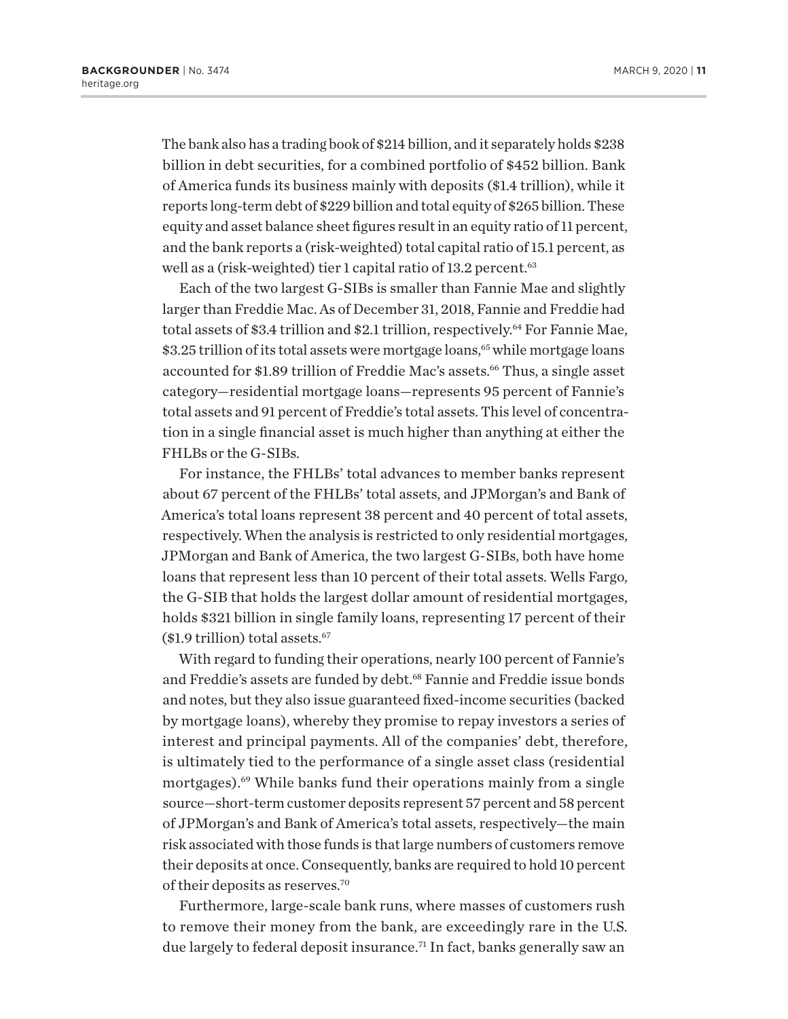The bank also has a trading book of \$214 billion, and it separately holds \$238 billion in debt securities, for a combined portfolio of \$452 billion. Bank of America funds its business mainly with deposits (\$1.4 trillion), while it reports long-term debt of \$229 billion and total equity of \$265 billion. These equity and asset balance sheet figures result in an equity ratio of 11 percent, and the bank reports a (risk-weighted) total capital ratio of 15.1 percent, as well as a (risk-weighted) tier 1 capital ratio of 13.2 percent.<sup>63</sup>

Each of the two largest G-SIBs is smaller than Fannie Mae and slightly larger than Freddie Mac. As of December 31, 2018, Fannie and Freddie had total assets of \$3.4 trillion and \$2.1 trillion, respectively.<sup>64</sup> For Fannie Mae, \$3.25 trillion of its total assets were mortgage loans,<sup>65</sup> while mortgage loans accounted for \$1.89 trillion of Freddie Mac's assets.<sup>66</sup> Thus, a single asset category—residential mortgage loans—represents 95 percent of Fannie's total assets and 91 percent of Freddie's total assets. This level of concentration in a single financial asset is much higher than anything at either the FHLBs or the G-SIBs.

For instance, the FHLBs' total advances to member banks represent about 67 percent of the FHLBs' total assets, and JPMorgan's and Bank of America's total loans represent 38 percent and 40 percent of total assets, respectively. When the analysis is restricted to only residential mortgages, JPMorgan and Bank of America, the two largest G-SIBs, both have home loans that represent less than 10 percent of their total assets. Wells Fargo, the G-SIB that holds the largest dollar amount of residential mortgages, holds \$321 billion in single family loans, representing 17 percent of their (\$1.9 trillion) total assets.67

With regard to funding their operations, nearly 100 percent of Fannie's and Freddie's assets are funded by debt.<sup>68</sup> Fannie and Freddie issue bonds and notes, but they also issue guaranteed fixed-income securities (backed by mortgage loans), whereby they promise to repay investors a series of interest and principal payments. All of the companies' debt, therefore, is ultimately tied to the performance of a single asset class (residential mortgages).<sup>69</sup> While banks fund their operations mainly from a single source—short-term customer deposits represent 57 percent and 58 percent of JPMorgan's and Bank of America's total assets, respectively—the main risk associated with those funds is that large numbers of customers remove their deposits at once. Consequently, banks are required to hold 10 percent of their deposits as reserves.70

Furthermore, large-scale bank runs, where masses of customers rush to remove their money from the bank, are exceedingly rare in the U.S. due largely to federal deposit insurance.<sup>71</sup> In fact, banks generally saw an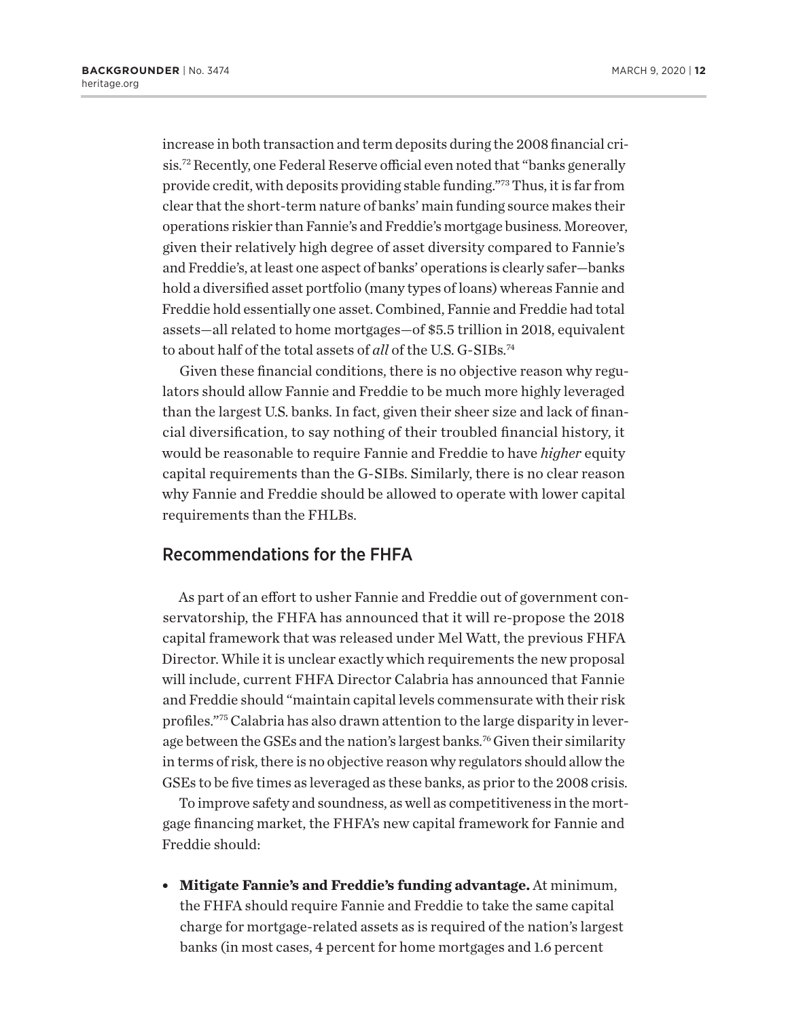increase in both transaction and term deposits during the 2008 financial crisis.72 Recently, one Federal Reserve official even noted that "banks generally provide credit, with deposits providing stable funding."73 Thus, it is far from clear that the short-term nature of banks' main funding source makes their operations riskier than Fannie's and Freddie's mortgage business. Moreover, given their relatively high degree of asset diversity compared to Fannie's and Freddie's, at least one aspect of banks' operations is clearly safer—banks hold a diversified asset portfolio (many types of loans) whereas Fannie and Freddie hold essentially one asset. Combined, Fannie and Freddie had total assets—all related to home mortgages—of \$5.5 trillion in 2018, equivalent to about half of the total assets of *all* of the U.S. G-SIBs.74

Given these financial conditions, there is no objective reason why regulators should allow Fannie and Freddie to be much more highly leveraged than the largest U.S. banks. In fact, given their sheer size and lack of financial diversification, to say nothing of their troubled financial history, it would be reasonable to require Fannie and Freddie to have *higher* equity capital requirements than the G-SIBs. Similarly, there is no clear reason why Fannie and Freddie should be allowed to operate with lower capital requirements than the FHLBs.

## Recommendations for the FHFA

As part of an effort to usher Fannie and Freddie out of government conservatorship, the FHFA has announced that it will re-propose the 2018 capital framework that was released under Mel Watt, the previous FHFA Director. While it is unclear exactly which requirements the new proposal will include, current FHFA Director Calabria has announced that Fannie and Freddie should "maintain capital levels commensurate with their risk profiles."75 Calabria has also drawn attention to the large disparity in leverage between the GSEs and the nation's largest banks.<sup>76</sup> Given their similarity in terms of risk, there is no objective reason why regulators should allow the GSEs to be five times as leveraged as these banks, as prior to the 2008 crisis.

To improve safety and soundness, as well as competitiveness in the mortgage financing market, the FHFA's new capital framework for Fannie and Freddie should:

<sup>l</sup> **Mitigate Fannie's and Freddie's funding advantage.** At minimum, the FHFA should require Fannie and Freddie to take the same capital charge for mortgage-related assets as is required of the nation's largest banks (in most cases, 4 percent for home mortgages and 1.6 percent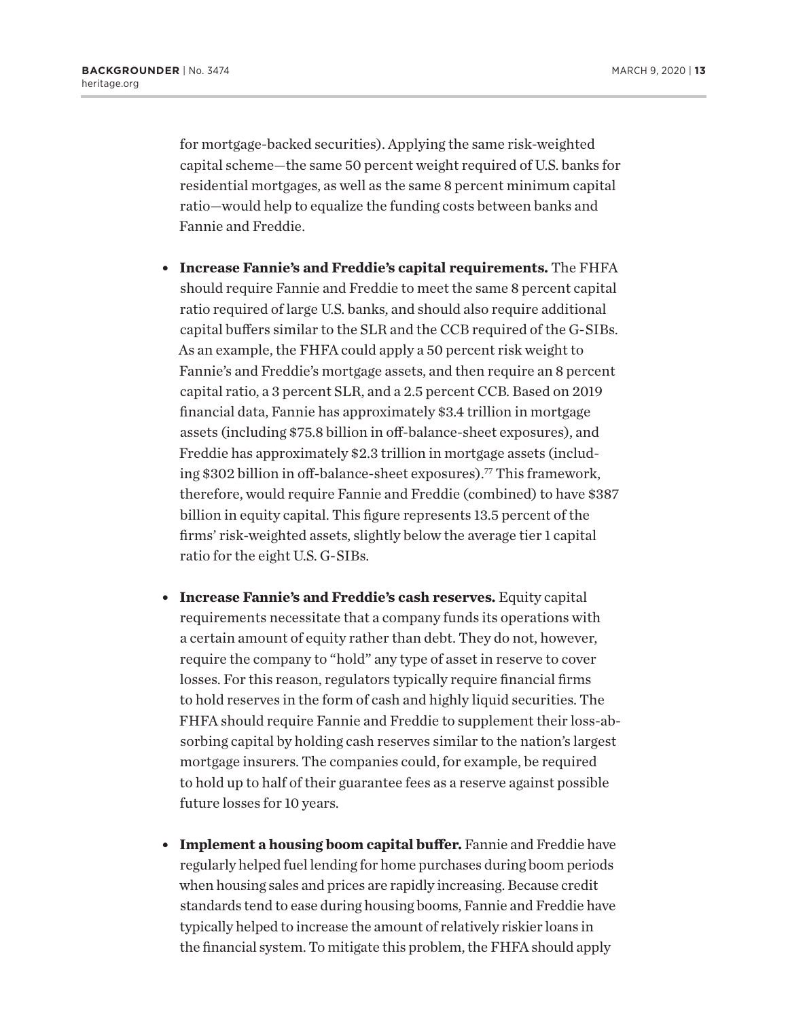for mortgage-backed securities). Applying the same risk-weighted capital scheme—the same 50 percent weight required of U.S. banks for residential mortgages, as well as the same 8 percent minimum capital ratio—would help to equalize the funding costs between banks and Fannie and Freddie.

- **Increase Fannie's and Freddie's capital requirements.** The FHFA should require Fannie and Freddie to meet the same 8 percent capital ratio required of large U.S. banks, and should also require additional capital buffers similar to the SLR and the CCB required of the G-SIBs. As an example, the FHFA could apply a 50 percent risk weight to Fannie's and Freddie's mortgage assets, and then require an 8 percent capital ratio, a 3 percent SLR, and a 2.5 percent CCB. Based on 2019 financial data, Fannie has approximately \$3.4 trillion in mortgage assets (including \$75.8 billion in off-balance-sheet exposures), and Freddie has approximately \$2.3 trillion in mortgage assets (including \$302 billion in off-balance-sheet exposures).77 This framework, therefore, would require Fannie and Freddie (combined) to have \$387 billion in equity capital. This figure represents 13.5 percent of the firms' risk-weighted assets, slightly below the average tier 1 capital ratio for the eight U.S. G-SIBs.
- **Increase Fannie's and Freddie's cash reserves.** Equity capital requirements necessitate that a company funds its operations with a certain amount of equity rather than debt. They do not, however, require the company to "hold" any type of asset in reserve to cover losses. For this reason, regulators typically require financial firms to hold reserves in the form of cash and highly liquid securities. The FHFA should require Fannie and Freddie to supplement their loss-absorbing capital by holding cash reserves similar to the nation's largest mortgage insurers. The companies could, for example, be required to hold up to half of their guarantee fees as a reserve against possible future losses for 10 years.
- **Implement a housing boom capital buffer.** Fannie and Freddie have regularly helped fuel lending for home purchases during boom periods when housing sales and prices are rapidly increasing. Because credit standards tend to ease during housing booms, Fannie and Freddie have typically helped to increase the amount of relatively riskier loans in the financial system. To mitigate this problem, the FHFA should apply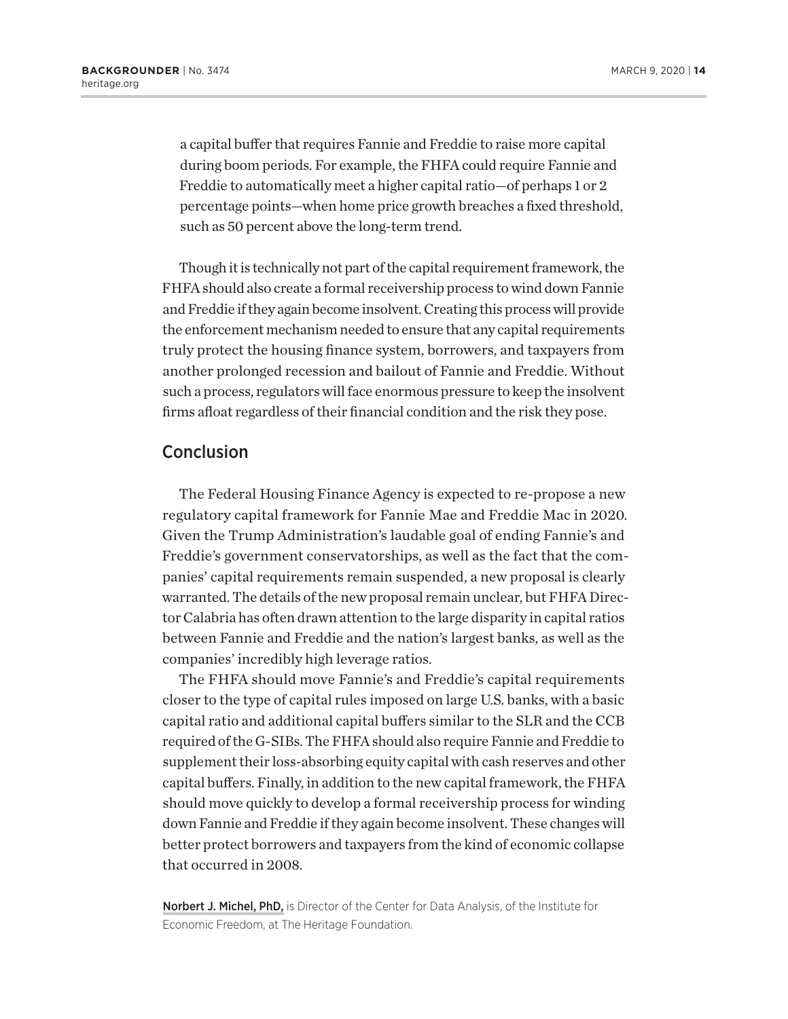a capital buffer that requires Fannie and Freddie to raise more capital during boom periods. For example, the FHFA could require Fannie and Freddie to automatically meet a higher capital ratio—of perhaps 1 or 2 percentage points—when home price growth breaches a fixed threshold, such as 50 percent above the long-term trend.

Though it is technically not part of the capital requirement framework, the FHFA should also create a formal receivership process to wind down Fannie and Freddie if they again become insolvent. Creating this process will provide the enforcement mechanism needed to ensure that any capital requirements truly protect the housing finance system, borrowers, and taxpayers from another prolonged recession and bailout of Fannie and Freddie. Without such a process, regulators will face enormous pressure to keep the insolvent firms afloat regardless of their financial condition and the risk they pose.

#### Conclusion

The Federal Housing Finance Agency is expected to re-propose a new regulatory capital framework for Fannie Mae and Freddie Mac in 2020. Given the Trump Administration's laudable goal of ending Fannie's and Freddie's government conservatorships, as well as the fact that the companies' capital requirements remain suspended, a new proposal is clearly warranted. The details of the new proposal remain unclear, but FHFA Director Calabria has often drawn attention to the large disparity in capital ratios between Fannie and Freddie and the nation's largest banks, as well as the companies' incredibly high leverage ratios.

The FHFA should move Fannie's and Freddie's capital requirements closer to the type of capital rules imposed on large U.S. banks, with a basic capital ratio and additional capital buffers similar to the SLR and the CCB required of the G-SIBs. The FHFA should also require Fannie and Freddie to supplement their loss-absorbing equity capital with cash reserves and other capital buffers. Finally, in addition to the new capital framework, the FHFA should move quickly to develop a formal receivership process for winding down Fannie and Freddie if they again become insolvent. These changes will better protect borrowers and taxpayers from the kind of economic collapse that occurred in 2008.

Norbert J. Michel, PhD, is Director of the Center for Data Analysis, of the Institute for Economic Freedom, at The Heritage Foundation.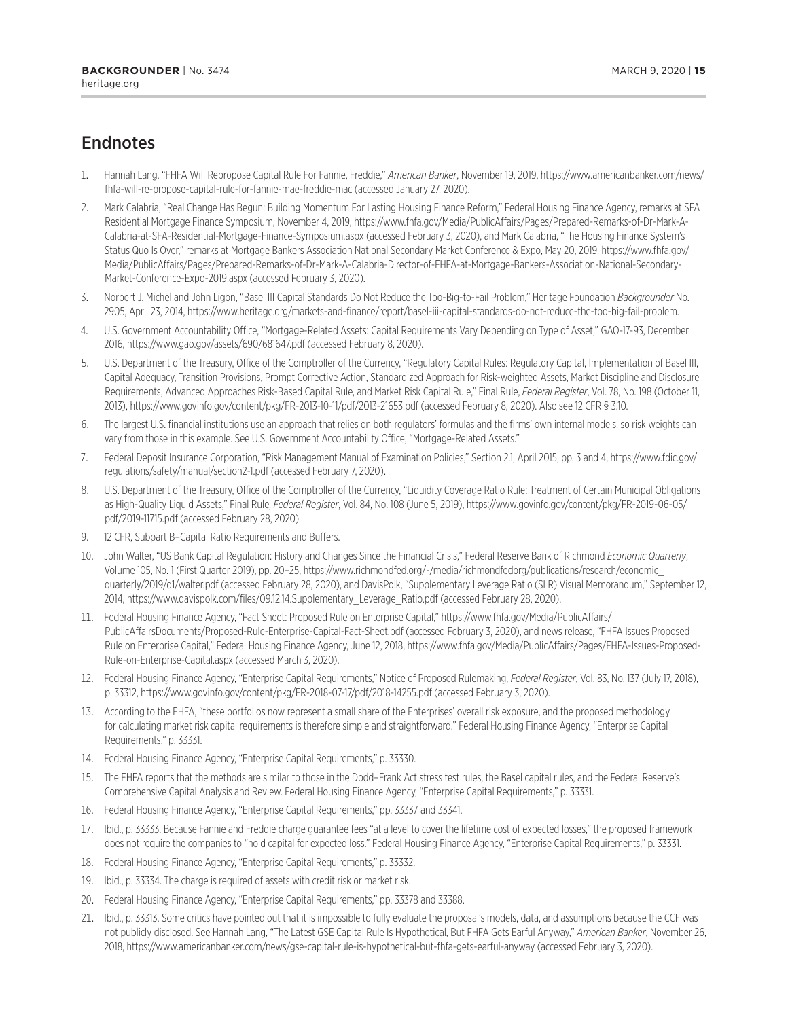# **Endnotes**

- 1. Hannah Lang, "FHFA Will Repropose Capital Rule For Fannie, Freddie," *American Banker*, November 19, 2019, https://www.americanbanker.com/news/ fhfa-will-re-propose-capital-rule-for-fannie-mae-freddie-mac (accessed January 27, 2020).
- 2. Mark Calabria, "Real Change Has Begun: Building Momentum For Lasting Housing Finance Reform," Federal Housing Finance Agency, remarks at SFA Residential Mortgage Finance Symposium, November 4, 2019, https://www.fhfa.gov/Media/PublicAffairs/Pages/Prepared-Remarks-of-Dr-Mark-A-Calabria-at-SFA-Residential-Mortgage-Finance-Symposium.aspx (accessed February 3, 2020), and Mark Calabria, "The Housing Finance System's Status Quo Is Over," remarks at Mortgage Bankers Association National Secondary Market Conference & Expo, May 20, 2019, https://www.fhfa.gov/ Media/PublicAffairs/Pages/Prepared-Remarks-of-Dr-Mark-A-Calabria-Director-of-FHFA-at-Mortgage-Bankers-Association-National-Secondary-Market-Conference-Expo-2019.aspx (accessed February 3, 2020).
- 3. Norbert J. Michel and John Ligon, "Basel III Capital Standards Do Not Reduce the Too-Big-to-Fail Problem," Heritage Foundation *Backgrounder* No. 2905, April 23, 2014, https://www.heritage.org/markets-and-finance/report/basel-iii-capital-standards-do-not-reduce-the-too-big-fail-problem.
- 4. U.S. Government Accountability Office, "Mortgage-Related Assets: Capital Requirements Vary Depending on Type of Asset," GAO-17-93, December 2016, https://www.gao.gov/assets/690/681647.pdf (accessed February 8, 2020).
- 5. U.S. Department of the Treasury, Office of the Comptroller of the Currency, "Regulatory Capital Rules: Regulatory Capital, Implementation of Basel III, Capital Adequacy, Transition Provisions, Prompt Corrective Action, Standardized Approach for Risk-weighted Assets, Market Discipline and Disclosure Requirements, Advanced Approaches Risk-Based Capital Rule, and Market Risk Capital Rule," Final Rule, Federal Register, Vol. 78, No. 198 (October 11, 2013), https://www.govinfo.gov/content/pkg/FR-2013-10-11/pdf/2013-21653.pdf (accessed February 8, 2020). Also see 12 CFR § 3.10.
- 6. The largest U.S. financial institutions use an approach that relies on both regulators' formulas and the firms' own internal models, so risk weights can vary from those in this example. See U.S. Government Accountability Office, "Mortgage-Related Assets."
- 7. Federal Deposit Insurance Corporation, "Risk Management Manual of Examination Policies," Section 2.1, April 2015, pp. 3 and 4, https://www.fdic.gov/ regulations/safety/manual/section2-1.pdf (accessed February 7, 2020).
- 8. U.S. Department of the Treasury, Office of the Comptroller of the Currency, "Liquidity Coverage Ratio Rule: Treatment of Certain Municipal Obligations as High-Quality Liquid Assets," Final Rule, *Federal Register*, Vol. 84, No. 108 (June 5, 2019), https://www.govinfo.gov/content/pkg/FR-2019-06-05/ pdf/2019-11715.pdf (accessed February 28, 2020).
- 9. 12 CFR, Subpart B–Capital Ratio Requirements and Buffers.
- 10. John Walter, "US Bank Capital Regulation: History and Changes Since the Financial Crisis," Federal Reserve Bank of Richmond *Economic Quarterly*, Volume 105, No. 1 (First Quarter 2019), pp. 20–25, https://www.richmondfed.org/-/media/richmondfedorg/publications/research/economic\_ quarterly/2019/q1/walter.pdf (accessed February 28, 2020), and DavisPolk, "Supplementary Leverage Ratio (SLR) Visual Memorandum," September 12, 2014, https://www.davispolk.com/files/09.12.14.Supplementary\_Leverage\_Ratio.pdf (accessed February 28, 2020).
- 11. Federal Housing Finance Agency, "Fact Sheet: Proposed Rule on Enterprise Capital," https://www.fhfa.gov/Media/PublicAffairs/ PublicAffairsDocuments/Proposed-Rule-Enterprise-Capital-Fact-Sheet.pdf (accessed February 3, 2020), and news release, "FHFA Issues Proposed Rule on Enterprise Capital," Federal Housing Finance Agency, June 12, 2018, https://www.fhfa.gov/Media/PublicAffairs/Pages/FHFA-Issues-Proposed-Rule-on-Enterprise-Capital.aspx (accessed March 3, 2020).
- 12. Federal Housing Finance Agency, "Enterprise Capital Requirements," Notice of Proposed Rulemaking, *Federal Register*, Vol. 83, No. 137 (July 17, 2018), p. 33312, https://www.govinfo.gov/content/pkg/FR-2018-07-17/pdf/2018-14255.pdf (accessed February 3, 2020).
- 13. According to the FHFA, "these portfolios now represent a small share of the Enterprises' overall risk exposure, and the proposed methodology for calculating market risk capital requirements is therefore simple and straightforward." Federal Housing Finance Agency, "Enterprise Capital Requirements," p. 33331.
- 14. Federal Housing Finance Agency, "Enterprise Capital Requirements," p. 33330.
- 15. The FHFA reports that the methods are similar to those in the Dodd–Frank Act stress test rules, the Basel capital rules, and the Federal Reserve's Comprehensive Capital Analysis and Review. Federal Housing Finance Agency, "Enterprise Capital Requirements," p. 33331.
- 16. Federal Housing Finance Agency, "Enterprise Capital Requirements," pp. 33337 and 33341.
- 17. Ibid., p. 33333. Because Fannie and Freddie charge guarantee fees "at a level to cover the lifetime cost of expected losses," the proposed framework does not require the companies to "hold capital for expected loss." Federal Housing Finance Agency, "Enterprise Capital Requirements," p. 33331.
- 18. Federal Housing Finance Agency, "Enterprise Capital Requirements," p. 33332.
- 19. Ibid., p. 33334. The charge is required of assets with credit risk or market risk.
- 20. Federal Housing Finance Agency, "Enterprise Capital Requirements," pp. 33378 and 33388.
- 21. Ibid., p. 33313. Some critics have pointed out that it is impossible to fully evaluate the proposal's models, data, and assumptions because the CCF was not publicly disclosed. See Hannah Lang, "The Latest GSE Capital Rule Is Hypothetical, But FHFA Gets Earful Anyway," *American Banker*, November 26, 2018, https://www.americanbanker.com/news/gse-capital-rule-is-hypothetical-but-fhfa-gets-earful-anyway (accessed February 3, 2020).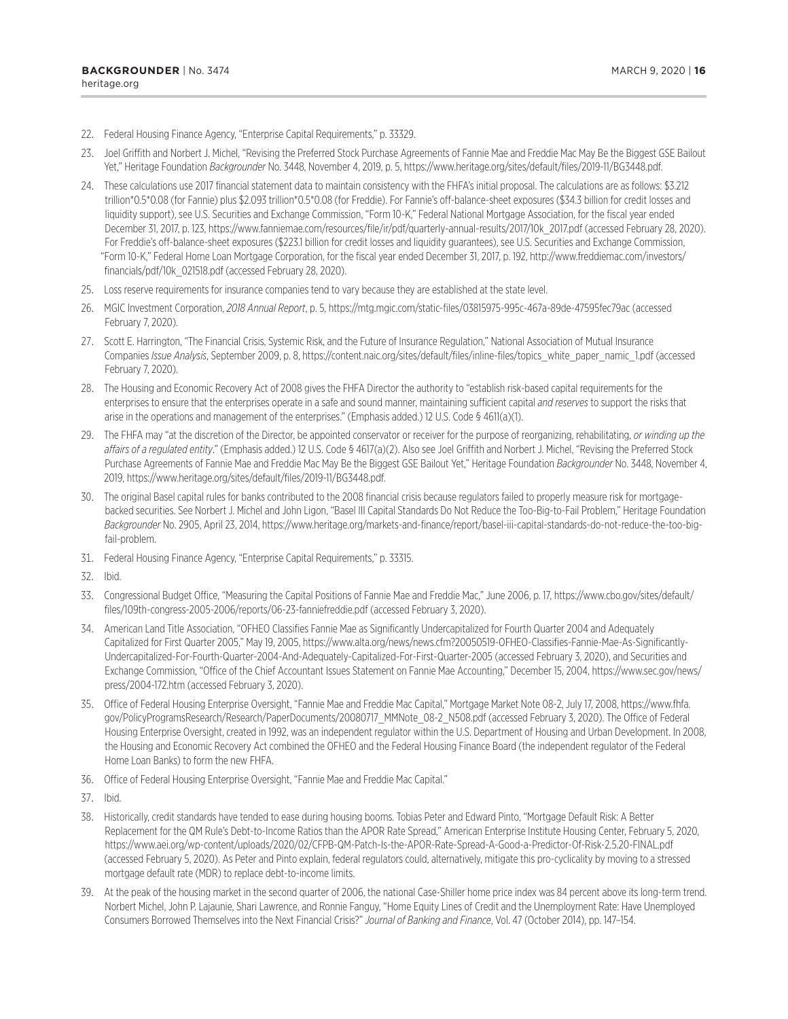- 22. Federal Housing Finance Agency, "Enterprise Capital Requirements," p. 33329.
- 23. Joel Griffith and Norbert J. Michel, "Revising the Preferred Stock Purchase Agreements of Fannie Mae and Freddie Mac May Be the Biggest GSE Bailout Yet," Heritage Foundation *Backgrounder* No. 3448, November 4, 2019, p. 5, https://www.heritage.org/sites/default/files/2019-11/BG3448.pdf.
- 24. These calculations use 2017 financial statement data to maintain consistency with the FHFA's initial proposal. The calculations are as follows: \$3.212 trillion\*0.5\*0.08 (for Fannie) plus \$2.093 trillion\*0.5\*0.08 (for Freddie). For Fannie's off-balance-sheet exposures (\$34.3 billion for credit losses and liquidity support), see U.S. Securities and Exchange Commission, "Form 10-K," Federal National Mortgage Association, for the fiscal year ended December 31, 2017, p. 123, https://www.fanniemae.com/resources/file/ir/pdf/quarterly-annual-results/2017/10k\_2017.pdf (accessed February 28, 2020). For Freddie's off-balance-sheet exposures (\$223.1 billion for credit losses and liquidity guarantees), see U.S. Securities and Exchange Commission, "Form 10-K," Federal Home Loan Mortgage Corporation, for the fiscal year ended December 31, 2017, p. 192, http://www.freddiemac.com/investors/ financials/pdf/10k\_021518.pdf (accessed February 28, 2020).
- 25. Loss reserve requirements for insurance companies tend to vary because they are established at the state level.
- 26. MGIC Investment Corporation, *2018 Annual Report*, p. 5, https://mtg.mgic.com/static-files/03815975-995c-467a-89de-47595fec79ac (accessed February 7, 2020).
- 27. Scott E. Harrington, "The Financial Crisis, Systemic Risk, and the Future of Insurance Regulation," National Association of Mutual Insurance Companies *Issue Analysis*, September 2009, p. 8, https://content.naic.org/sites/default/files/inline-files/topics\_white\_paper\_namic\_1.pdf (accessed February 7, 2020).
- 28. The Housing and Economic Recovery Act of 2008 gives the FHFA Director the authority to "establish risk-based capital requirements for the enterprises to ensure that the enterprises operate in a safe and sound manner, maintaining sufficient capital *and reserves* to support the risks that arise in the operations and management of the enterprises." (Emphasis added.) 12 U.S. Code § 4611(a)(1).
- 29. The FHFA may "at the discretion of the Director, be appointed conservator or receiver for the purpose of reorganizing, rehabilitating, *or winding up the affairs of a regulated entity*." (Emphasis added.) 12 U.S. Code § 4617(a)(2). Also see Joel Griffith and Norbert J. Michel, "Revising the Preferred Stock Purchase Agreements of Fannie Mae and Freddie Mac May Be the Biggest GSE Bailout Yet," Heritage Foundation *Backgrounder* No. 3448, November 4, 2019, https://www.heritage.org/sites/default/files/2019-11/BG3448.pdf.
- 30. The original Basel capital rules for banks contributed to the 2008 financial crisis because regulators failed to properly measure risk for mortgagebacked securities. See Norbert J. Michel and John Ligon, "Basel III Capital Standards Do Not Reduce the Too-Big-to-Fail Problem," Heritage Foundation *Backgrounder* No. 2905, April 23, 2014, https://www.heritage.org/markets-and-finance/report/basel-iii-capital-standards-do-not-reduce-the-too-bigfail-problem.
- 31. Federal Housing Finance Agency, "Enterprise Capital Requirements," p. 33315.
- 32. Ibid.
- 33. Congressional Budget Office, "Measuring the Capital Positions of Fannie Mae and Freddie Mac," June 2006, p. 17, https://www.cbo.gov/sites/default/ files/109th-congress-2005-2006/reports/06-23-fanniefreddie.pdf (accessed February 3, 2020).
- 34. American Land Title Association, "OFHEO Classifies Fannie Mae as Significantly Undercapitalized for Fourth Quarter 2004 and Adequately Capitalized for First Quarter 2005," May 19, 2005, https://www.alta.org/news/news.cfm?20050519-OFHEO-Classifies-Fannie-Mae-As-Significantly-Undercapitalized-For-Fourth-Quarter-2004-And-Adequately-Capitalized-For-First-Quarter-2005 (accessed February 3, 2020), and Securities and Exchange Commission, "Office of the Chief Accountant Issues Statement on Fannie Mae Accounting," December 15, 2004, https://www.sec.gov/news/ press/2004-172.htm (accessed February 3, 2020).
- 35. Office of Federal Housing Enterprise Oversight, "Fannie Mae and Freddie Mac Capital," Mortgage Market Note 08-2, July 17, 2008, https://www.fhfa. gov/PolicyProgramsResearch/Research/PaperDocuments/20080717\_MMNote\_08-2\_N508.pdf (accessed February 3, 2020). The Office of Federal Housing Enterprise Oversight, created in 1992, was an independent regulator within the U.S. Department of Housing and Urban Development. In 2008, the Housing and Economic Recovery Act combined the OFHEO and the Federal Housing Finance Board (the independent regulator of the Federal Home Loan Banks) to form the new FHFA.
- 36. Office of Federal Housing Enterprise Oversight, "Fannie Mae and Freddie Mac Capital."
- 37. Ibid.
- 38. Historically, credit standards have tended to ease during housing booms. Tobias Peter and Edward Pinto, "Mortgage Default Risk: A Better Replacement for the QM Rule's Debt-to-Income Ratios than the APOR Rate Spread," American Enterprise Institute Housing Center, February 5, 2020, https://www.aei.org/wp-content/uploads/2020/02/CFPB-QM-Patch-Is-the-APOR-Rate-Spread-A-Good-a-Predictor-Of-Risk-2.5.20-FINAL.pdf (accessed February 5, 2020). As Peter and Pinto explain, federal regulators could, alternatively, mitigate this pro-cyclicality by moving to a stressed mortgage default rate (MDR) to replace debt-to-income limits.
- 39. At the peak of the housing market in the second quarter of 2006, the national Case-Shiller home price index was 84 percent above its long-term trend. Norbert Michel, John P. Lajaunie, Shari Lawrence, and Ronnie Fanguy, "Home Equity Lines of Credit and the Unemployment Rate: Have Unemployed Consumers Borrowed Themselves into the Next Financial Crisis?" *Journal of Banking and Finance*, Vol. 47 (October 2014), pp. 147–154.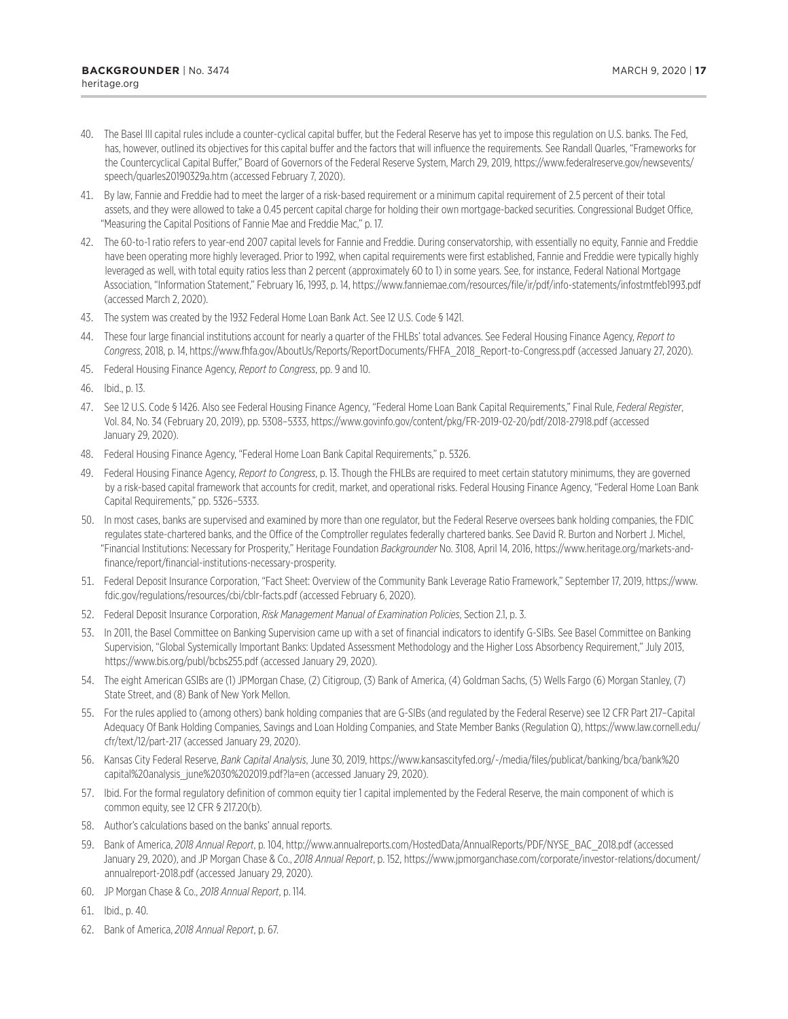- 40. The Basel III capital rules include a counter-cyclical capital buffer, but the Federal Reserve has yet to impose this regulation on U.S. banks. The Fed, has, however, outlined its objectives for this capital buffer and the factors that will influence the requirements. See Randall Quarles, "Frameworks for the Countercyclical Capital Buffer," Board of Governors of the Federal Reserve System, March 29, 2019, https://www.federalreserve.gov/newsevents/ speech/quarles20190329a.htm (accessed February 7, 2020).
- 41. By law, Fannie and Freddie had to meet the larger of a risk-based requirement or a minimum capital requirement of 2.5 percent of their total assets, and they were allowed to take a 0.45 percent capital charge for holding their own mortgage-backed securities. Congressional Budget Office, "Measuring the Capital Positions of Fannie Mae and Freddie Mac," p. 17.
- 42. The 60-to-1 ratio refers to year-end 2007 capital levels for Fannie and Freddie. During conservatorship, with essentially no equity, Fannie and Freddie have been operating more highly leveraged. Prior to 1992, when capital requirements were first established, Fannie and Freddie were typically highly leveraged as well, with total equity ratios less than 2 percent (approximately 60 to 1) in some years. See, for instance, Federal National Mortgage Association, "Information Statement," February 16, 1993, p. 14, https://www.fanniemae.com/resources/file/ir/pdf/info-statements/infostmtfeb1993.pdf (accessed March 2, 2020).
- 43. The system was created by the 1932 Federal Home Loan Bank Act. See 12 U.S. Code § 1421.
- 44. These four large financial institutions account for nearly a quarter of the FHLBs' total advances. See Federal Housing Finance Agency, *Report to Congress*, 2018, p. 14, https://www.fhfa.gov/AboutUs/Reports/ReportDocuments/FHFA\_2018\_Report-to-Congress.pdf (accessed January 27, 2020).
- 45. Federal Housing Finance Agency, *Report to Congress*, pp. 9 and 10.
- 46. Ibid., p. 13.
- 47. See 12 U.S. Code § 1426. Also see Federal Housing Finance Agency, "Federal Home Loan Bank Capital Requirements," Final Rule, *Federal Register*, Vol. 84, No. 34 (February 20, 2019), pp. 5308–5333, https://www.govinfo.gov/content/pkg/FR-2019-02-20/pdf/2018-27918.pdf (accessed January 29, 2020).
- 48. Federal Housing Finance Agency, "Federal Home Loan Bank Capital Requirements," p. 5326.
- 49. Federal Housing Finance Agency, *Report to Congress*, p. 13. Though the FHLBs are required to meet certain statutory minimums, they are governed by a risk-based capital framework that accounts for credit, market, and operational risks. Federal Housing Finance Agency, "Federal Home Loan Bank Capital Requirements," pp. 5326–5333.
- 50. In most cases, banks are supervised and examined by more than one regulator, but the Federal Reserve oversees bank holding companies, the FDIC regulates state-chartered banks, and the Office of the Comptroller regulates federally chartered banks. See David R. Burton and Norbert J. Michel, "Financial Institutions: Necessary for Prosperity," Heritage Foundation *Backgrounder* No. 3108, April 14, 2016, https://www.heritage.org/markets-andfinance/report/financial-institutions-necessary-prosperity.
- 51. Federal Deposit Insurance Corporation, "Fact Sheet: Overview of the Community Bank Leverage Ratio Framework," September 17, 2019, https://www. fdic.gov/regulations/resources/cbi/cblr-facts.pdf (accessed February 6, 2020).
- 52. Federal Deposit Insurance Corporation, *Risk Management Manual of Examination Policies*, Section 2.1, p. 3.
- 53. In 2011, the Basel Committee on Banking Supervision came up with a set of financial indicators to identify G-SIBs. See Basel Committee on Banking Supervision, "Global Systemically Important Banks: Updated Assessment Methodology and the Higher Loss Absorbency Requirement," July 2013, https://www.bis.org/publ/bcbs255.pdf (accessed January 29, 2020).
- 54. The eight American GSIBs are (1) JPMorgan Chase, (2) Citigroup, (3) Bank of America, (4) Goldman Sachs, (5) Wells Fargo (6) Morgan Stanley, (7) State Street, and (8) Bank of New York Mellon.
- 55. For the rules applied to (among others) bank holding companies that are G-SIBs (and regulated by the Federal Reserve) see 12 CFR Part 217–Capital Adequacy Of Bank Holding Companies, Savings and Loan Holding Companies, and State Member Banks (Regulation Q), https://www.law.cornell.edu/ cfr/text/12/part-217 (accessed January 29, 2020).
- 56. Kansas City Federal Reserve, *Bank Capital Analysis*, June 30, 2019, https://www.kansascityfed.org/~/media/files/publicat/banking/bca/bank%20 capital%20analysis\_june%2030%202019.pdf?la=en (accessed January 29, 2020).
- 57. Ibid. For the formal regulatory definition of common equity tier 1 capital implemented by the Federal Reserve, the main component of which is common equity, see 12 CFR § 217.20(b).
- 58. Author's calculations based on the banks' annual reports.
- 59. Bank of America, *2018 Annual Report*, p. 104, http://www.annualreports.com/HostedData/AnnualReports/PDF/NYSE\_BAC\_2018.pdf (accessed January 29, 2020), and JP Morgan Chase & Co., *2018 Annual Report*, p. 152, https://www.jpmorganchase.com/corporate/investor-relations/document/ annualreport-2018.pdf (accessed January 29, 2020).
- 60. JP Morgan Chase & Co., *2018 Annual Report*, p. 114.
- 61. Ibid., p. 40.
- 62. Bank of America, *2018 Annual Report*, p. 67.